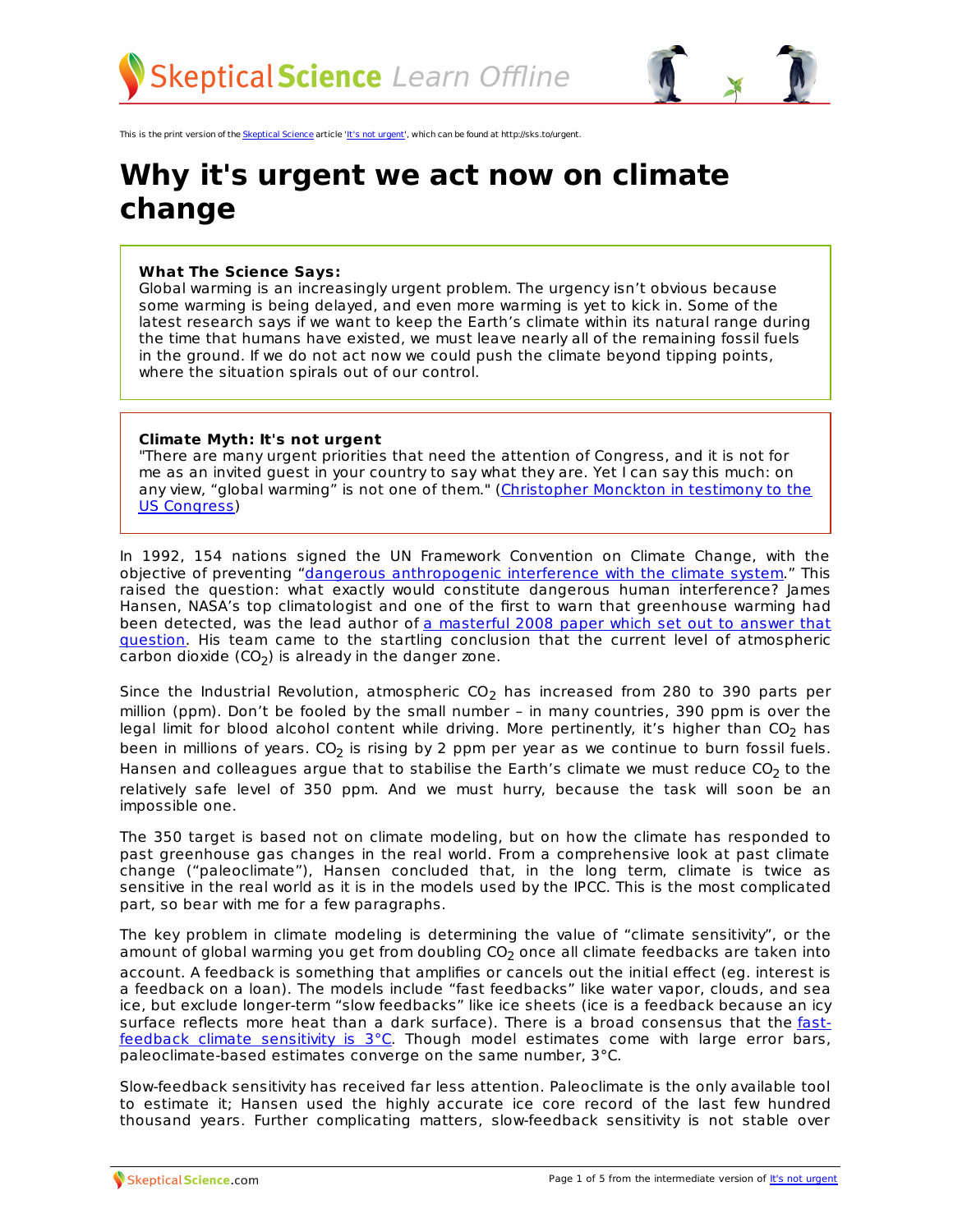

This is the print version of the [Skeptical](http://skepticalscience.com) Science article 'It's not [urgent](http://skepticalscience.com/global-warming-not-urgent.htm)', which can be found at http://sks.to/urgent.

## **Why it's urgent we act now on climate change**

## **What The Science Says:**

Global warming is an increasingly urgent problem. The urgency isn't obvious because some warming is being delayed, and even more warming is yet to kick in. Some of the latest research says if we want to keep the Earth's climate within its natural range during the time that humans have existed, we must leave nearly all of the remaining fossil fuels in the ground. If we do not act now we could push the climate beyond tipping points, where the situation spirals out of our control.

## **Climate Myth: It's not urgent**

"There are many urgent priorities that need the attention of Congress, and it is not for me as an invited guest in your country to say what they are. Yet I can say this much: on any view, "global warming" is not one of them." [\(Christopher](http://scienceandpublicpolicy.org/images/stories/papers/reprint/viscount_congress_testimony_may_2010.pdf) Monckton in testimony to the US Congress)

In 1992, 154 nations signed the UN Framework Convention on Climate Change, with the objective of preventing "dangerous [anthropogenic](http://unfccc.int/essential_background/convention/background/items/1353.php) interference with the climate system." This raised the question: what exactly would constitute dangerous human interference? James Hansen, NASA's top climatologist and one of the first to warn that greenhouse warming had been detected, was the lead author of a masterful 2008 paper which set out to answer that question. His team came to the startling conclusion that the current level of [atmospheric](http://arxiv.org/abs/0804.1126) carbon dioxide  $(CO<sub>2</sub>)$  is already in the danger zone.

Since the Industrial Revolution, atmospheric  $CO<sub>2</sub>$  has increased from 280 to 390 parts per million (ppm). Don't be fooled by the small number – in many countries, 390 ppm is over the legal limit for blood alcohol content while driving. More pertinently, it's higher than  $CO<sub>2</sub>$  has been in millions of years.  $CO<sub>2</sub>$  is rising by 2 ppm per year as we continue to burn fossil fuels. Hansen and colleagues argue that to stabilise the Earth's climate we must reduce  $CO<sub>2</sub>$  to the relatively safe level of 350 ppm. And we must hurry, because the task will soon be an impossible one.

The 350 target is based not on climate modeling, but on how the climate has responded to past greenhouse gas changes in the real world. From a comprehensive look at past climate change ("paleoclimate"), Hansen concluded that, in the long term, climate is twice as sensitive in the real world as it is in the models used by the IPCC. This is the most complicated part, so bear with me for a few paragraphs.

The key problem in climate modeling is determining the value of "climate sensitivity", or the amount of global warming you get from doubling  $CO<sub>2</sub>$  once all climate feedbacks are taken into account. A feedback is something that amplifies or cancels out the initial effect (eg. interest is a feedback on a loan). The models include "fast feedbacks" like water vapor, clouds, and sea ice, but exclude longer-term "slow feedbacks" like ice sheets (ice is a feedback because an icy surface reflects more heat than a dark surface). There is a broad [consensus](http://www.skepticalscience.com/climate-sensitivity.htm) that the fastfeedback climate sensitivity is 3°C. Though model estimates come with large error bars, paleoclimate-based estimates converge on the same number, 3°C.

Slow-feedback sensitivity has received far less attention. Paleoclimate is the only available tool to estimate it; Hansen used the highly accurate ice core record of the last few hundred thousand years. Further complicating matters, slow-feedback sensitivity is not stable over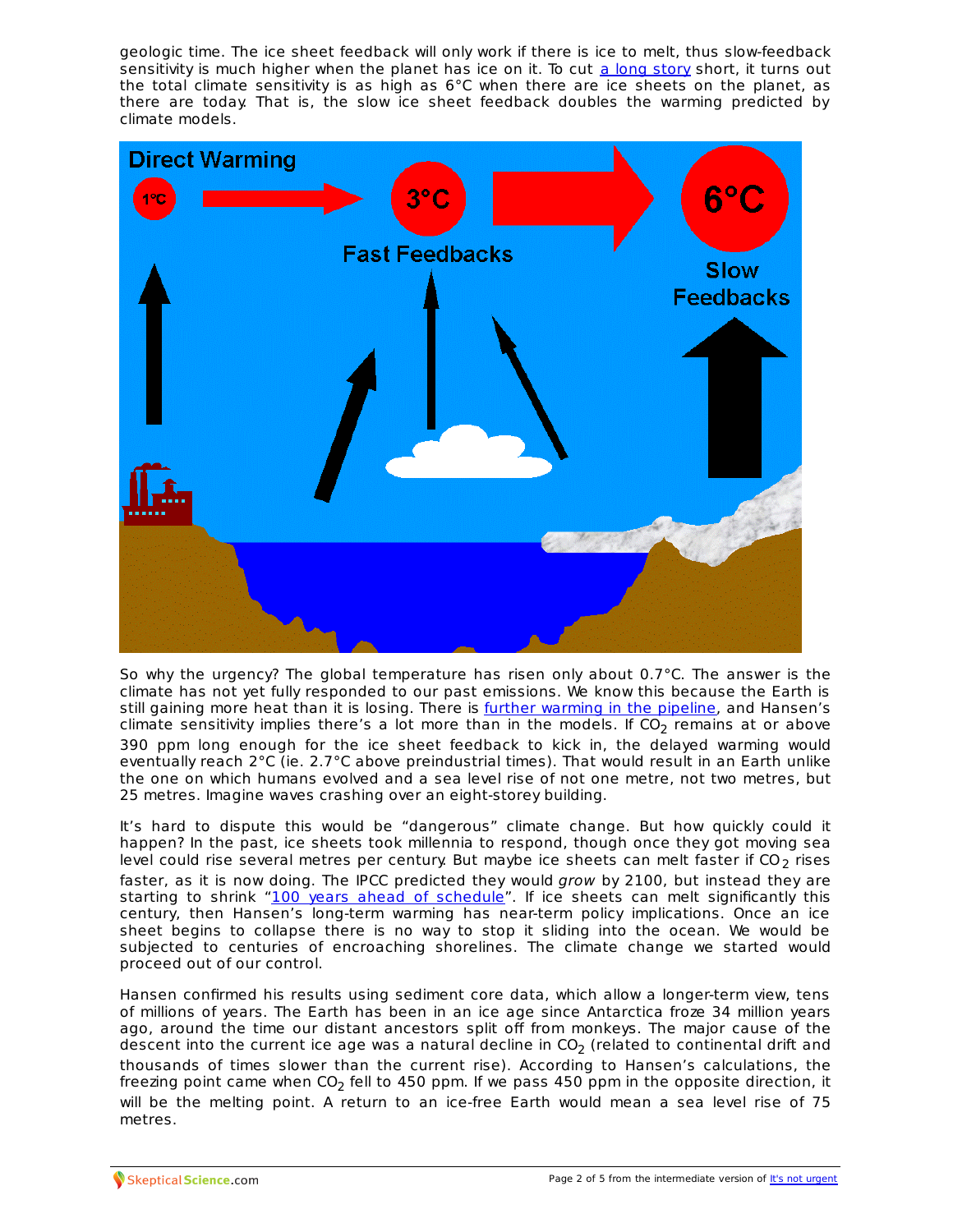geologic time. The ice sheet feedback will only work if there is ice to melt, thus slow-feedback sensitivity is much higher when the planet has ice on it. To cut a long [story](http://www.skepticalscience.com/global-warming-not-urgent-advanced) short, it turns out the total climate sensitivity is as high as 6°C when there are ice sheets on the planet, as there are today. That is, the slow ice sheet feedback doubles the warming predicted by climate models.



So why the urgency? The global temperature has risen only about  $0.7^{\circ}$ C. The answer is the climate has not yet fully responded to our past emissions. We know this because the Earth is still gaining more heat than it is losing. There is further [warming](http://www.skepticalscience.com/monckton-myth-10-warming-in-the-pipeline.html) in the pipeline, and Hansen's climate sensitivity implies there's a lot more than in the models. If  $CO<sub>2</sub>$  remains at or above 390 ppm long enough for the ice sheet feedback to kick in, the delayed warming would eventually reach 2°C (ie. 2.7°C above preindustrial times). That would result in an Earth unlike the one on which humans evolved and a sea level rise of not one metre, not two metres, but 25 metres. Imagine waves crashing over an eight-storey building.

It's hard to dispute this would be "dangerous" climate change. But how quickly could it happen? In the past, ice sheets took millennia to respond, though once they got moving sea level could rise several metres per century. But maybe ice sheets can melt faster if  $CO<sub>2</sub>$  rises faster, as it is now doing. The IPCC predicted they would grow by 2100, but instead they are starting to shrink "100 years ahead of [schedule](http://www.csmonitor.com/2006/0324/p01s03-sten.html)". If ice sheets can melt significantly this century, then Hansen's long-term warming has near-term policy implications. Once an ice sheet begins to collapse there is no way to stop it sliding into the ocean. We would be subjected to centuries of encroaching shorelines. The climate change we started would proceed out of our control.

Hansen confirmed his results using sediment core data, which allow a longer-term view, tens of millions of years. The Earth has been in an ice age since Antarctica froze 34 million years ago, around the time our distant ancestors split off from monkeys. The major cause of the descent into the current ice age was a natural decline in  $CO<sub>2</sub>$  (related to continental drift and thousands of times slower than the current rise). According to Hansen's calculations, the freezing point came when CO<sub>2</sub> fell to 450 ppm. If we pass 450 ppm in the opposite direction, it will be the melting point. A return to an ice-free Earth would mean a sea level rise of 75 metres.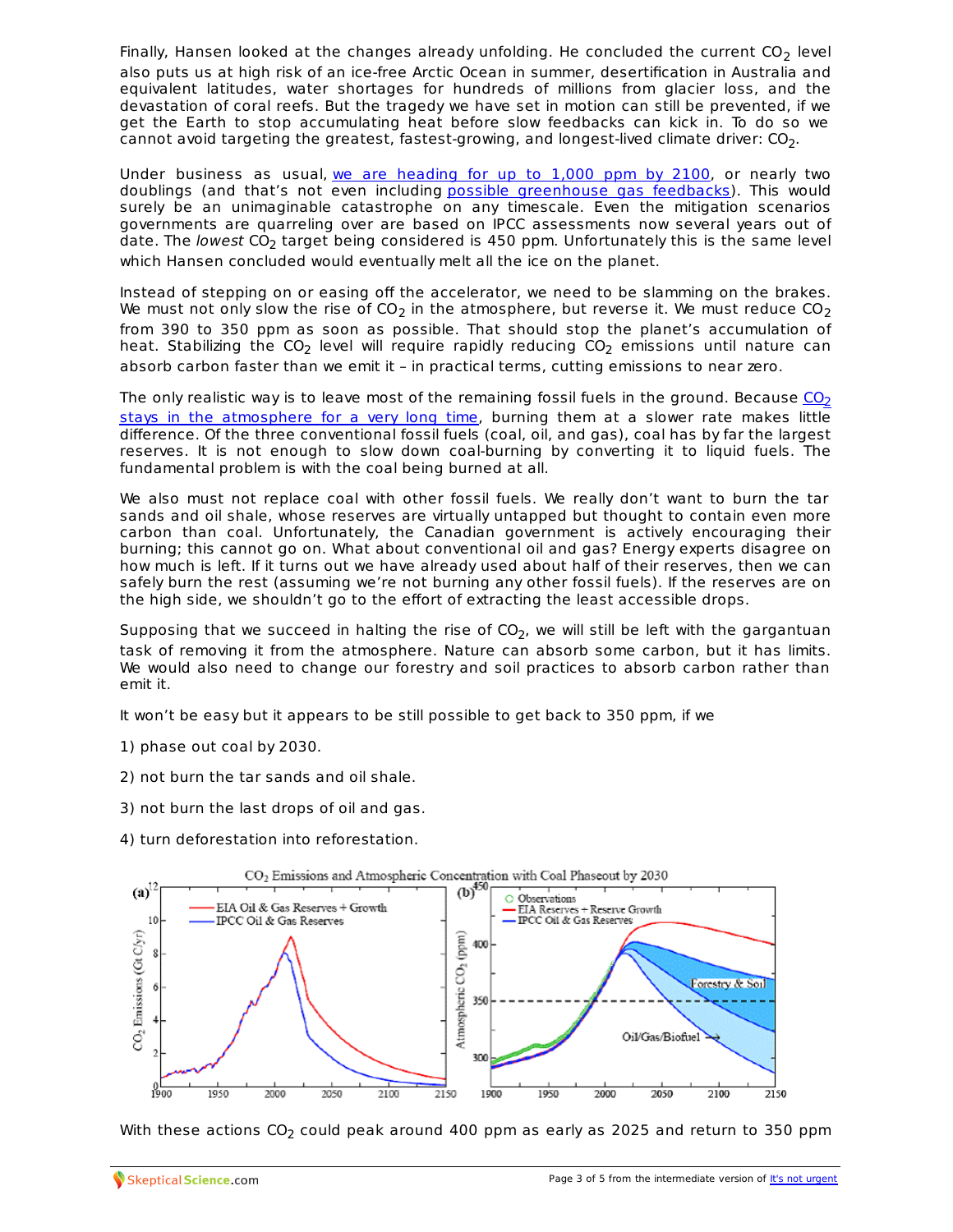Finally, Hansen looked at the changes already unfolding. He concluded the current  $CO<sub>2</sub>$  level also puts us at high risk of an ice-free Arctic Ocean in summer, desertification in Australia and equivalent latitudes, water shortages for hundreds of millions from glacier loss, and the devastation of coral reefs. But the tragedy we have set in motion can still be prevented, if we get the Earth to stop accumulating heat before slow feedbacks can kick in. To do so we cannot avoid targeting the greatest, fastest-growing, and longest-lived climate driver:  $CO<sub>2</sub>$ .

Under business as usual, we are [heading](http://climateprogress.org/2009/03/17/media-copenhagen-global-warming-impacts-worst-case-ipcc/) for up to 1,000 ppm by 2100, or nearly two doublings (and that's not even including possible [greenhouse](http://www.skepticalscience.com/global-carbon-cycle-david-archer-review.html) gas feedbacks). This would surely be an unimaginable catastrophe on any timescale. Even the mitigation scenarios governments are quarreling over are based on IPCC assessments now several years out of date. The lowest  $CO<sub>2</sub>$  target being considered is 450 ppm. Unfortunately this is the same level which Hansen concluded would eventually melt all the ice on the planet.

Instead of stepping on or easing off the accelerator, we need to be slamming on the brakes. We must not only slow the rise of  $CO<sub>2</sub>$  in the atmosphere, but reverse it. We must reduce  $CO<sub>2</sub>$ from 390 to 350 ppm as soon as possible. That should stop the planet's accumulation of heat. Stabilizing the  $CO<sub>2</sub>$  level will require rapidly reducing  $CO<sub>2</sub>$  emissions until nature can absorb carbon faster than we emit it – in practical terms, cutting emissions to near zero.

The only realistic way is to leave most of the remaining fossil fuels in the ground. Because  $CO<sub>2</sub>$ stays in the [atmosphere](http://www.skepticalscience.com/co2-residence-time.htm) for a very long time, burning them at a slower rate makes little difference. Of the three conventional fossil fuels (coal, oil, and gas), coal has by far the largest reserves. It is not enough to slow down coal-burning by converting it to liquid fuels. The fundamental problem is with the coal being burned at all.

We also must not replace coal with other fossil fuels. We really don't want to burn the tar sands and oil shale, whose reserves are virtually untapped but thought to contain even more carbon than coal. Unfortunately, the Canadian government is actively encouraging their burning; this cannot go on. What about conventional oil and gas? Energy experts disagree on how much is left. If it turns out we have already used about half of their reserves, then we can safely burn the rest (assuming we're not burning any other fossil fuels). If the reserves are on the high side, we shouldn't go to the effort of extracting the least accessible drops.

Supposing that we succeed in halting the rise of  $CO<sub>2</sub>$ , we will still be left with the gargantuan task of removing it from the atmosphere. Nature can absorb some carbon, but it has limits. We would also need to change our forestry and soil practices to absorb carbon rather than emit it.

It won't be easy but it appears to be still possible to get back to 350 ppm, if we

- 1) phase out coal by 2030.
- 2) not burn the tar sands and oil shale.
- 3) not burn the last drops of oil and gas.
- 4) turn deforestation into reforestation.



With these [actions](http://skepticalscience.com)  $CO<sub>2</sub>$  could peak around 400 [ppm](http://skepticalscience.com/global-warming-not-urgent.htm) as early as 2025 and return to 350 ppm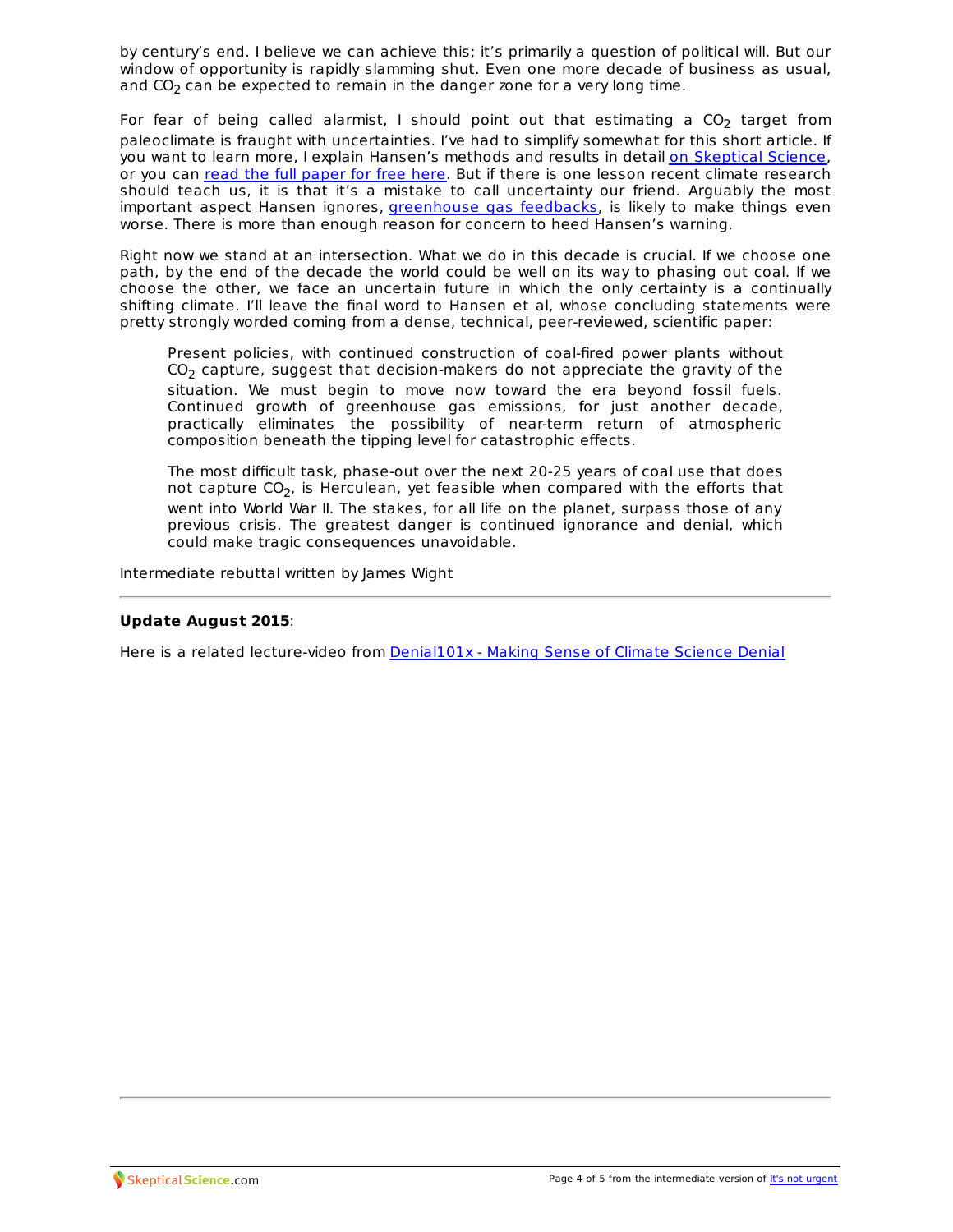by century's end. I believe we can achieve this; it's primarily a question of political will. But our window of opportunity is rapidly slamming shut. Even one more decade of business as usual, and  $CO<sub>2</sub>$  can be expected to remain in the danger zone for a very long time.

For fear of being called alarmist, I should point out that estimating a  $CO<sub>2</sub>$  target from paleoclimate is fraught with uncertainties. I've had to simplify somewhat for this short article. If you want to learn more, I explain Hansen's methods and results in detail on [Skeptical](http://www.skepticalscience.com/global-warming-not-urgent-advanced) Science, or you can read the full [paper](http://arxiv.org/abs/0804.1126) for free here. But if there is one lesson recent climate research should teach us, it is that it's a mistake to call uncertainty our friend. Arguably the most important aspect Hansen ignores, *[greenhouse](http://www.skepticalscience.com/global-carbon-cycle-david-archer-review.html) gas feedbacks*, is likely to make things even worse. There is more than enough reason for concern to heed Hansen's warning.

Right now we stand at an intersection. What we do in this decade is crucial. If we choose one path, by the end of the decade the world could be well on its way to phasing out coal. If we choose the other, we face an uncertain future in which the only certainty is a continually shifting climate. I'll leave the final word to Hansen et al, whose concluding statements were pretty strongly worded coming from a dense, technical, peer-reviewed, scientific paper:

Present policies, with continued construction of coal-fired power plants without  $CO<sub>2</sub>$  capture, suggest that decision-makers do not appreciate the gravity of the situation. We must begin to move now toward the era beyond fossil fuels. Continued growth of greenhouse gas emissions, for just another decade, practically eliminates the possibility of near-term return of atmospheric composition beneath the tipping level for catastrophic effects.

The most difficult task, phase-out over the next 20-25 years of coal use that does not capture  $CO<sub>2</sub>$ , is Herculean, yet feasible when compared with the efforts that went into World War II. The stakes, for all life on the planet, surpass those of any previous crisis. The greatest danger is continued ignorance and denial, which could make tragic consequences unavoidable.

Intermediate rebuttal written by James Wight

## **Update August 2015**:

Here is a related lecture-video from [Denial101x](https://www.edx.org/course/making-sense-climate-science-denial-uqx-denial101x-0) - Making Sense of Climate Science Denial